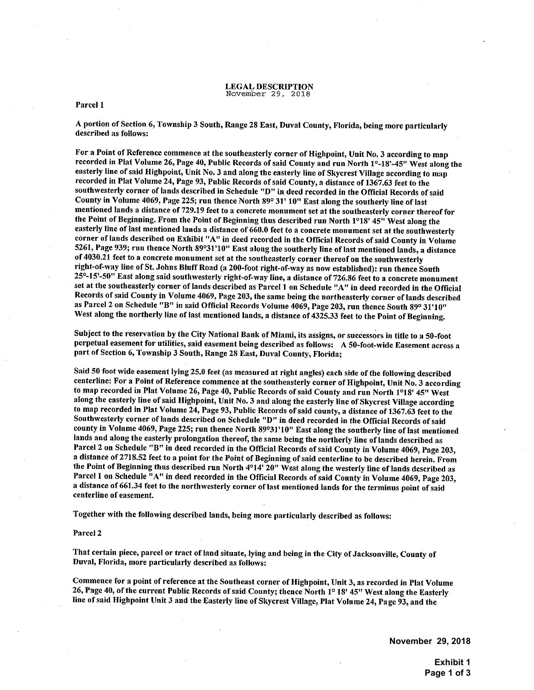#### LEGAL DESCRIPTION November 29, 2018

### Parcel 1

<sup>A</sup> portion of Section 6, Township <sup>3</sup> South, Range <sup>28</sup> East, Duval County, Florida, being more particularly described as follows:

For a Point of Reference commence at the southeasterly corner of Highpoint, Unit No. 3 according to map recorded in Plat Volume 26, Page 40, Public Records of said County and run North 1°-18'-45" West along the easterly line of said Highpoint, Unit No. 3 and along the easterly line of Skycrest Village according to map recorded in Plat Volume 24, Page 93, Public Records ofsaid County, <sup>a</sup> distance of 1367.63 feet to the southwesterly corner of lands described in Schedule "D" in deed recorded in the Official Records of said County in Volume 4069, Page 225; run thence North 89° <sup>31</sup>' 10" East along the southerly line oflast mentioned lands a distance of 729.19 feet to a concrete monument set at the southeasterly corner thereof for the Point of Beginning. From the Point of Beginning thus described run North 1°18' 45" West along the easterly line of last mentioned lands a distance of 660.0 feet to a concrete monument set at the southwesterly corner oflands described on Exhibit "A" in deed recorded in the Official Records ofsaid County in Volume 5261, Page 939; run thence North 89°31'10" East along the southerly line of last mentioned lands, a distance of4030.21 feet to <sup>a</sup> concrete monument set at the southeasterly corner thereof on the southwesterly right-of-way line of St. Johns Bluff Road (a 200-foot right-of-way as now established): run thence South 25°-15'-50" East along said southwesterly right-of-way line, a distance of 726.86 feet to a concrete monument set at the southeasterly corner of lands described as Parcel <sup>1</sup> on Schedule "A" in deed recorded in the Official Records of said County in Volume 4069, Page 203, the same being the northeasterly corner of lands described as Parcel 2 on Schedule "B" in said Official Records Volume 4069, Page 203, run thence South 89° 31'10" West along the northerly line of last mentioned lands, a distance of 4325.33 feet to the Point of Beginning.

Subject to the reservation by the City National Bank of Miami, its assigns, or successors in title to <sup>a</sup> 50-foot perpetual easement for utilities, said easement being described as follows: <sup>A</sup> 50-foot-wide Easement across <sup>a</sup> part of Section 6, Township 3 South, Range 28 East, Duval County, Florida;

Said 50 foot wide easement lying 25.0 feet (as measured at right angles) each side of the following described centerline: For a Point of Reference commence at the southeasterly corner of Highpoint, Unit No. 3 according to map recorded in Plat Volume 26, Page 40, Public Records of said County and run North 1°18' 45" West along the easterly line of said Highpoint, Unit No. 3 and along the easterly line of Skycrest Village according to map recorded in Plat Volume 24, Page 93, Public Records ofsaid county, a distance of 1367.63 feet to the Southwesterly corner of lands described on Schedule "D" in deed recorded in the Official Records of said county in Volume 4069, Page 225; run thence North 89°31'10" East along the southerly line of last mentioned lands and along the easterly prolongation thereof, the same being the northerly line of lands described as Parcel 2 on Schedule "B" in deed recorded in the Official Records of said County in Volume 4069, Page 203, a distance of 2718.52 feet to a point for the Point of Beginning of said centerline to be described herein. From the Point of Beginning thus described run North <sup>4</sup>014' 20" West along the westerly line of lands described as Parcel 1 on Schedule "A" in deed recorded in the Official Records of said County in Volume 4069, Page 203, a distance of 661.34 feet to the northwesterly corner of last mentioned lands for the terminus point of said centerline of easement.

Together with the following described lands, being more particularly described as follows:

## Parcel 2

That certain piece, parcel or tract of land situate, lying and being in the City of Jacksonville, County of Duval, Florida, more particularly described as follows:

Commence for a point of reference at the Southeast corner of Highpoint, Unit 3, as recorded in Plat Volume 26, Page 40, of the current Public Records of said County; thence North 1° 18' 45" West along the Easterly line ofsaid Highpoint Unit <sup>3</sup> and the Easterly line of Skycrest Village, Plat Volume 24, Page 93, and the

**November 29, 2018** 

**Exhibit 1 Page 1 of 3**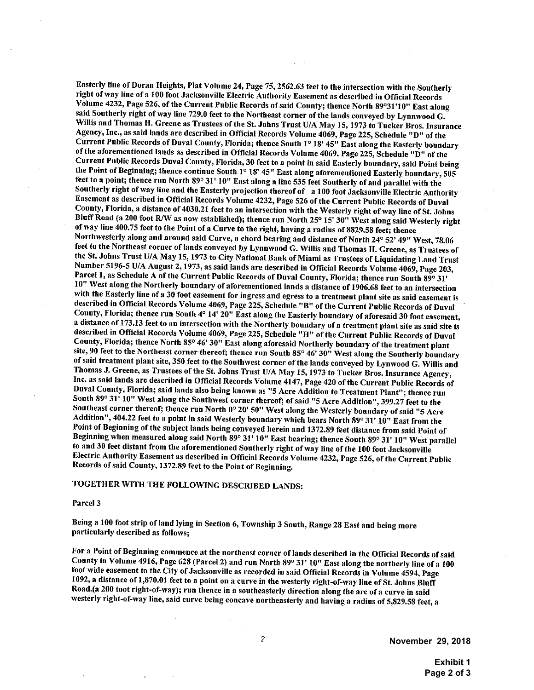Easterly line of Doran Heights, Plat Volume 24, Page 75,2562.63 feet to the intersection with the Southerly right ofway line of <sup>a</sup> <sup>100</sup> foot Jacksonville Electric Authority Easement as described in Official Records Volume 4232, Page 526, of the Current Public Records of said County; thence North 89°31'10" East along said Southerly right of way line 729.0 feet to the Northeast corner of the lands conveyed by Lynnwood G. Willis and Thomas H. Greene as Trustees of the St. Johns Trust U/A May 15, 1973 to Tucker Bros. Insurance Agency, Inc., as said lands are described in Official Records Volume 4069, Page 225, Schedule "D" of the Current Public Records of Duval County, Florida; thence South 1° <sup>18</sup><sup>1</sup> 45" East along the Easterly boundary of the aforementioned lands as described in Official Records Volume 4069, Page 225, Schedule "D" of the Current Public Records Duval County, Florida, <sup>30</sup> feet to <sup>a</sup> point in said Easterly boundary, said Point being the Point of Beginning; thence continue South 1° 18' 45" East along aforementioned Easterly boundary, 505 feet to <sup>a</sup> point; thence run North 89° 31' 10" East along <sup>a</sup> line 535 feet Southerly of and parallel with the Southerly right of way line and the Easterly projection thereof of a 100 foot Jacksonville Electric Authority Easement as described in Official Records Volume 4232, Page 526 of the Current Public Records of Duval County, Florida, a distance of 4030.21 feet to an intersection with the Westerly right of way line of St. Johns Bluff Road (a 200 foot R/W as now established); thence run North 25° 15' 30" West along said Westerly right ofway line 400.75 feet to the Point of <sup>a</sup> Curve to the right, having <sup>a</sup> radius of 8829.58 feet; thence Northwesterly along and around said Curve, a chord bearing and distance of North 24° 52' 49" West, 78.06 feet to the Northeast corner of lands conveyed by Lynnwood G. Willis and Thomas H. Greene, as Trustees of the St. Johns Trust U/A May 15, 1973 to City National Bank of Miami as Trustees of Liquidating Land Trust Number 5196-5 U/A August 2,1973, as said lands are described in Official Records Volume 4069, Page 203, Parcel 1, as Schedule A of the Current Public Records of Duval County, Florida; thence run South 89° 31' 10" West along the Northerly boundary of aforementioned lands <sup>a</sup> distance of 1906.68 feet to an intersection with the Easterly line of <sup>a</sup> <sup>30</sup> foot easement for ingress and egress to <sup>a</sup> treatment <sup>p</sup>lant site as said easement is described in Official Records Volume 4069, Page 225, Schedule "B" of the Current Public Records of Duval County, Florida; thence run South 4° 14' 20" East along the Easterly boundary of aforesaid <sup>30</sup> foot easement, <sup>a</sup> distance of 173.13 feet to an intersection with the Northerly boundary of <sup>a</sup> treatment <sup>p</sup>lant site as said site is described in Official Records Volume 4069, Page 225, Schedule "H" of the Current Public Records of Duval County, Florida; thence North 85° 46' 30" East along aforesaid Northerly boundary of the treatment plant site, 90 feet to the Northeast corner thereof; thence run South 85° 46' 30" West along the Southerly boundary ofsaid treatment <sup>p</sup>lant site, <sup>350</sup> feet to the Southwest corner of the lands conveyed by Lynwood G. Willis and Thomas J. Greene, as Trustees of the St. Johns Trust U/A May 15, 1973 to Tucker Bros. Insurance Agency, Inc. as said lands are described in Official Records Volume 4147, Page 420 of the Current Public Records of Duval County, Florida; said lands also being known as "5 Acre Addition to Treatment Plant"; thence run South 89° 31' 10" West along the Southwest corner thereof; of said "5 Acre Addition", 399.27 feet to the Southeast corner thereof; thence run North 0° 20' 50" West along the Westerly boundary of said "5 Acre Addition", 404.22 feet to <sup>a</sup> point in said Westerly boundary which bears North 89° 31' 10" East from the Point of Beginning of the subject lands being conveyed herein and 1372.89 feet distance from said Point of Beginning when measured along said North 89° 31' 10" East bearing; thence South 89° <sup>31</sup>' 10" West parallel to and 30 feet distant from the aforementioned Southerly right of way line of the 100 foot Jacksonville Electric Authority Easement as described in Official Records Volume 4232, Page 526, ofthe Current Public Records of said County, 1372.89 feet to the Point of Beginning.

# TOGETHER WITH THE FOLLOWING DESCRIBED LANDS:

## Parcel 3

Being <sup>a</sup> <sup>100</sup> foot strip ofland lying in Section 6, Township 3 South, Range <sup>28</sup> East and being more particularly described as follows;

For a Point of Beginning commence at the northeast corner of lands described in the Official Records of said County in Volume 4916, Page <sup>628</sup> (Parcel 2) and run North 89° 31' 10" East along the northerly line of <sup>a</sup> <sup>100</sup> foot wide easement to the City of Jacksonville as recorded in said Official Records in Volume 4594, Page 1092, <sup>a</sup> distance of 1,870.01 feet to <sup>a</sup> point on <sup>a</sup> curve in the westerly right-of-way line of St. Johns Bluff Road.(a 200 toot right-of-way); run thence in <sup>a</sup> southeasterly direction along the arc of <sup>a</sup> curve in said westerly right-of-way line, said curve being concave northeasterly and having <sup>a</sup> radius of 5,829.58 feet, <sup>a</sup>

**November 29, 2018** 

**Exhibit 1 Page 2 of 3**